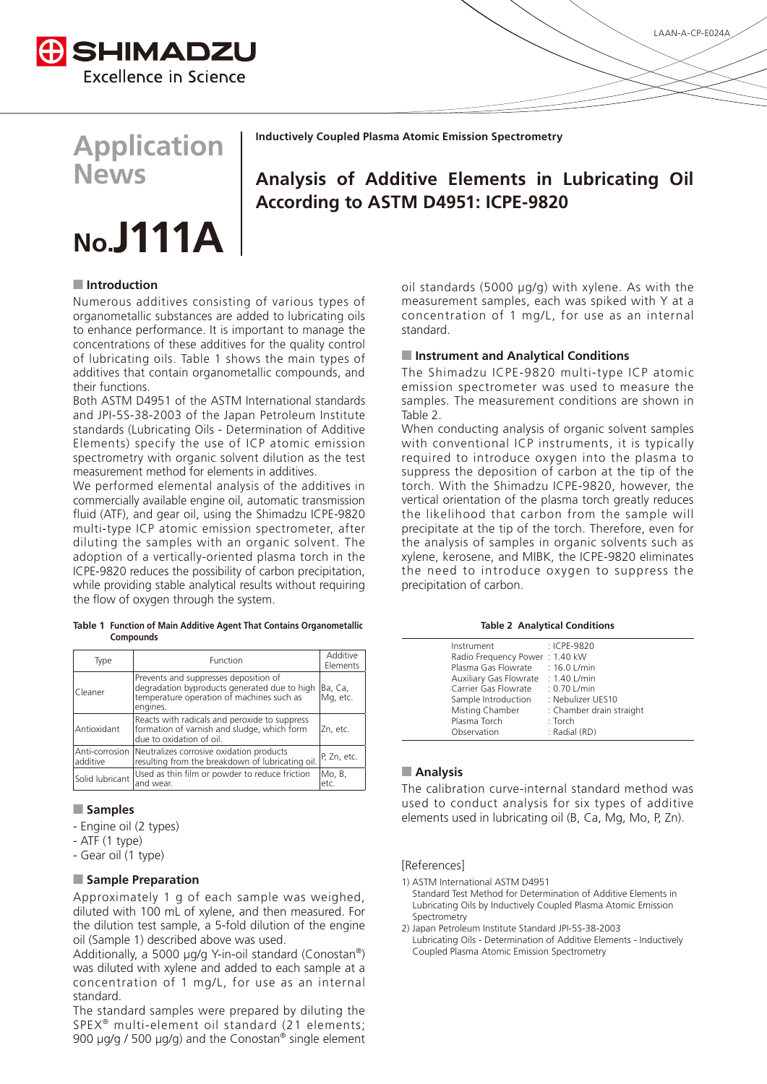

## **Application News**

# **.No A111J**

#### **Inductively Coupled Plasma Atomic Emission Spectrometry**

### **Analysis of Additive Elements in Lubricating Oil According to ASTM D4951: ICPE-9820**

#### **I**Introduction

Numerous additives consisting of various types of organometallic substances are added to lubricating oils to enhance performance. It is important to manage the concentrations of these additives for the quality control of lubricating oils. Table 1 shows the main types of additives that contain organometallic compounds, and their functions.

Both ASTM D4951 of the ASTM International standards and JPI-5S-38-2003 of the Japan Petroleum Institute standards (Lubricating Oils - Determination of Additive Elements) specify the use of ICP atomic emission spectrometry with organic solvent dilution as the test measurement method for elements in additives.

We performed elemental analysis of the additives in commercially available engine oil, automatic transmission fluid (ATF), and gear oil, using the Shimadzu ICPE-9820 multi-type ICP atomic emission spectrometer, after diluting the samples with an organic solvent. The adoption of a vertically-oriented plasma torch in the ICPE-9820 reduces the possibility of carbon precipitation, while providing stable analytical results without requiring the flow of oxygen through the system.

#### Table 1 Function of Main Additive Agent That Contains Organometallic **Compounds**

| Type                       | Function                                                                                                                                       | Additive<br>Elements |  |  |  |  |
|----------------------------|------------------------------------------------------------------------------------------------------------------------------------------------|----------------------|--|--|--|--|
| Cleaner                    | Prevents and suppresses deposition of<br>degradation byproducts generated due to high<br>temperature operation of machines such as<br>engines. | Ba, Ca,<br>Mg, etc.  |  |  |  |  |
| Antioxidant                | Zn. etc.                                                                                                                                       |                      |  |  |  |  |
| Anti-corrosion<br>additive | Neutralizes corrosive oxidation products<br>resulting from the breakdown of lubricating oil.                                                   |                      |  |  |  |  |
| Solid lubricant            | Used as thin film or powder to reduce friction<br>and wear.                                                                                    | Mo, B,<br>etc.       |  |  |  |  |

#### **Samples**

- Engine oil (2 types)
- $-$  ATF (1 type)
- Gear oil (1 type)

#### **Preparation**

Approximately 1 g of each sample was weighed, diluted with 100 mL of xylene, and then measured. For the dilution test sample, a 5-fold dilution of the engine oil (Sample 1) described above was used.

Additionally, a 5000  $\mu$ g/g Y-in-oil standard (Conostan<sup>®</sup>) was diluted with xylene and added to each sample at a concentration of 1 mg/L, for use as an internal standard.

The standard samples were prepared by diluting the SPEX<sup>®</sup> multi-element oil standard (21 elements; 900  $\mu$ g/g / 500  $\mu$ g/g) and the Conostan® single element oil standards (5000  $\mu$ g/g) with xylene. As with the measurement samples, each was spiked with Y at a concentration of 1 mg/L, for use as an internal standard.

#### **E** Instrument and Analytical Conditions

The Shimadzu ICPE-9820 multi-type ICP atomic emission spectrometer was used to measure the samples. The measurement conditions are shown in Table 2.

When conducting analysis of organic solvent samples with conventional ICP instruments, it is typically required to introduce oxygen into the plasma to suppress the deposition of carbon at the tip of the torch. With the Shimadzu ICPE-9820, however, the vertical orientation of the plasma torch greatly reduces the likelihood that carbon from the sample will precipitate at the tip of the torch. Therefore, even for the analysis of samples in organic solvents such as xylene, kerosene, and MIBK, the ICPE-9820 eliminates the need to introduce oxygen to suppress the precipitation of carbon.

#### **Table 2 Analytical Conditions**

| Instrument                          | : ICPE-9820              |
|-------------------------------------|--------------------------|
| Radio Frequency Power: 1.40 kW      |                          |
| Plasma Gas Flowrate                 | $: 16.0$ L/min           |
| Auxiliary Gas Flowrate : 1.40 L/min |                          |
| Carrier Gas Flowrate                | $: 0.70$ L/min           |
| Sample Introduction                 | : Nebulizer UES10        |
| Misting Chamber                     | : Chamber drain straight |
| Plasma Torch                        | $:$ Torch                |
| Observation                         | : Radial (RD)            |
|                                     |                          |

#### **Analysis**

The calibration curve-internal standard method was used to conduct analysis for six types of additive elements used in lubricating oil (B, Ca, Mg, Mo, P, Zn).

#### [References]

- 1) ASTM International ASTM D4951
- Standard Test Method for Determination of Additive Flements in Lubricating Oils by Inductively Coupled Plasma Atomic Emission Spectrometry
- 2) Japan Petroleum Institute Standard JPI-5S-38-2003 Lubricating Oils - Determination of Additive Elements - Inductively Coupled Plasma Atomic Emission Spectrometry